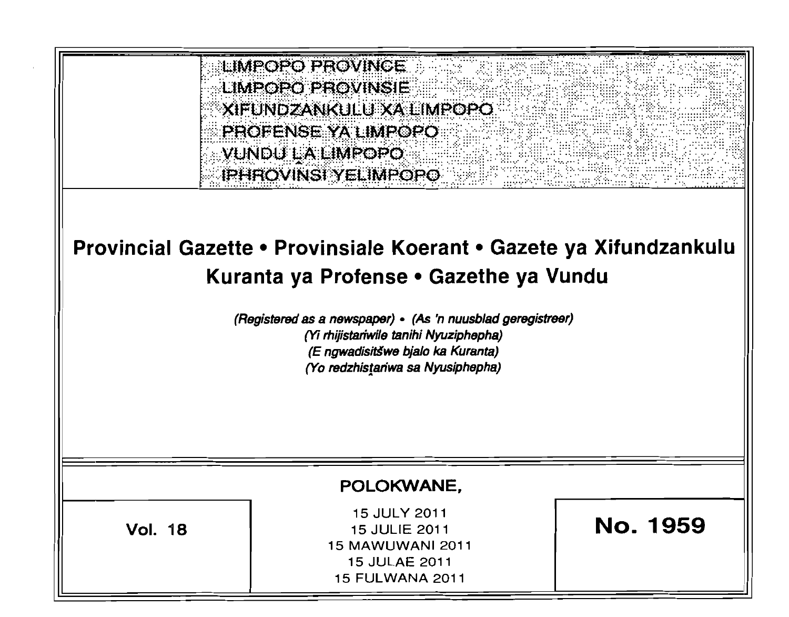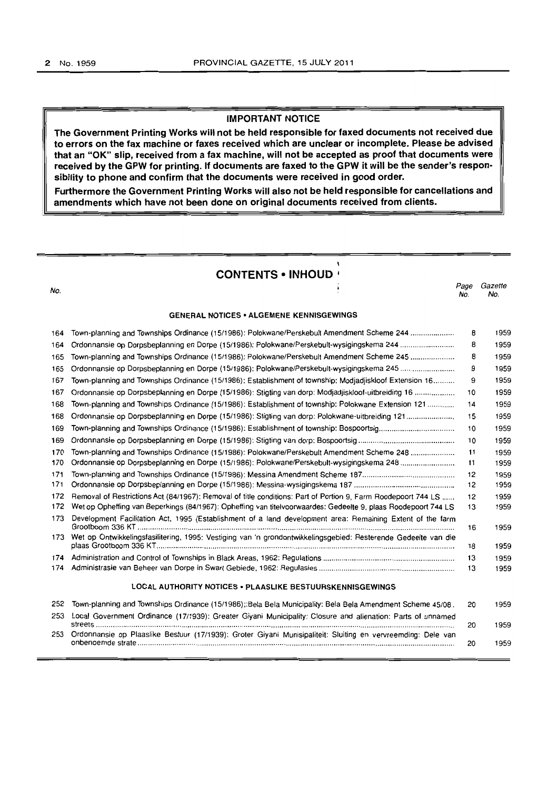#### IMPORTANT NOTICE

The Government Printing Works will not be held responsible for faxed documents not received due to errors on the fax machine or faxes received which are unclear or incomplete. Please be advised that an "OK" slip. received from a fax machine, will not be accepted as proof that documents were received by the GPW for printing. If documents are faxed to the GPW it will be the sender's responsibility to phone and confirm that the documents were received in good order.

Furthermore the Government Printing Works will also not be held responsible for cancellations and amendments which have not been done on original documents received from clients.

| <b>CONTENTS • INHOUD ·</b> |                                                                                                                |             |                |  |  |  |  |
|----------------------------|----------------------------------------------------------------------------------------------------------------|-------------|----------------|--|--|--|--|
| No.                        |                                                                                                                | Page<br>No. | Gazette<br>No. |  |  |  |  |
|                            | <b>GENERAL NOTICES • ALGEMENE KENNISGEWINGS</b>                                                                |             |                |  |  |  |  |
| 164                        | Town-planning and Townships Ordinance (15/1986): Polokwane/Perskebult Amendment Scheme 244                     | 8           | 1959           |  |  |  |  |
| 164                        | Ordonnansie op Dorpsbeplanning en Dorpe (15/1986): Polokwane/Perskebult-wysigingskema 244                      | 8           | 1959           |  |  |  |  |
| 165                        | Town-planning and Townships Ordinance (15/1986): Polokwane/Perskebult Amendment Scheme 245                     | 8           | 1959           |  |  |  |  |
| 165                        |                                                                                                                | 9           | 1959           |  |  |  |  |
| 167                        | Town-planning and Townships Ordinance (15/1986): Establishment of township: Modjadjiskloof Extension 16        | 9           | 1959           |  |  |  |  |
| 167                        | Ordonnansie op Dorpsbeplanning en Dorpe (15/1986): Stigting van dorp: Modiadjiskloof-uitbreiding 16            | 10          | 1959           |  |  |  |  |
| 168                        | Town-planning and Townships Ordinance (15/1986): Establishment of township: Polokwane Extension 121            | 14          | 1959           |  |  |  |  |
| 168                        | Ordonnansie op Dorpsbeplanning en Dorpe (15/1986): Stigting van dorp: Polokwane-uitbreiding 121                | 15          | 1959           |  |  |  |  |
| 169                        |                                                                                                                | 10          | 1959           |  |  |  |  |
| 169                        |                                                                                                                | 10          | 1959           |  |  |  |  |
| 170                        | Town-planning and Townships Ordinance (15/1986): Polokwane/Perskebult Amendment Scheme 248                     | 11          | 1959           |  |  |  |  |
| 170                        | Ordonnansie op Dorpsbeplanning en Dorpe (15/1986): Polokwane/Perskebult-wysigingskema 248                      | 11          | 1959           |  |  |  |  |
| 171                        |                                                                                                                | 12          | 1959           |  |  |  |  |
| 171                        |                                                                                                                | 12          | 1959           |  |  |  |  |
| 172                        | Removal of Restrictions Act (84/1967): Removal of title conditions: Part of Portion 9, Farm Roodepoort 744 LS  | 12          | 1959           |  |  |  |  |
| 172                        | Wet op Opheffing van Beperkings (84/1967): Opheffing van titelvoorwaardes: Gedeelte 9, plaas Roodepoort 744 LS | 13          | 1959           |  |  |  |  |
| 173                        | Development Facilitation Act, 1995 (Establishment of a land development area: Remaining Extent of the farm     | 16          | 1959           |  |  |  |  |
| 173                        | Wet op Ontwikkelingsfasilitering, 1995: Vestiging van 'n grondontwikkelingsgebied: Resterende Gedeelte van die |             |                |  |  |  |  |
|                            |                                                                                                                | 18          | 1959           |  |  |  |  |
| 174                        |                                                                                                                | 13          | 1959           |  |  |  |  |
| 174                        |                                                                                                                | 13          | 1959           |  |  |  |  |
|                            | LOCAL AUTHORITY NOTICES . PLAASLIKE BESTUURSKENNISGEWINGS                                                      |             |                |  |  |  |  |
| 252                        | Town-planning and Townships Ordinance (15/1986);:Bela Bela Municipality: Bela Bela Amendment Scheme 45/08.     | 20          | 1959           |  |  |  |  |
| 253                        | Local Government Ordinance (17/1939): Greater Giyani Municipality: Closure and alienation: Parts of unnamed    | 20          | 1959           |  |  |  |  |
| 253                        | Ordonnansie op Plaaslike Bestuur (17/1939): Groter Giyani Munisipaliteit: Sluiting en vervreemding: Dele van   | 20          | 1959           |  |  |  |  |
|                            |                                                                                                                |             |                |  |  |  |  |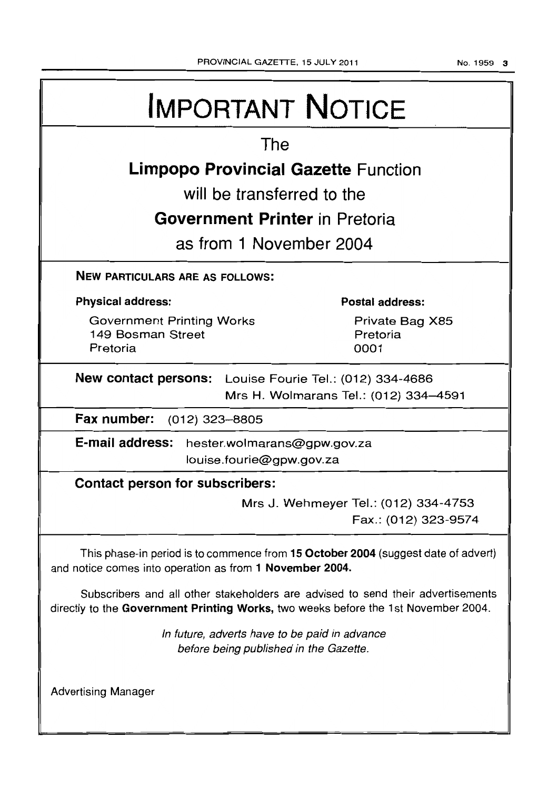| <b>IMPORTANT NOTICE</b>                                                                                                                                               |  |  |  |  |  |
|-----------------------------------------------------------------------------------------------------------------------------------------------------------------------|--|--|--|--|--|
| The                                                                                                                                                                   |  |  |  |  |  |
| <b>Limpopo Provincial Gazette Function</b>                                                                                                                            |  |  |  |  |  |
| will be transferred to the                                                                                                                                            |  |  |  |  |  |
| <b>Government Printer</b> in Pretoria                                                                                                                                 |  |  |  |  |  |
| as from 1 November 2004                                                                                                                                               |  |  |  |  |  |
|                                                                                                                                                                       |  |  |  |  |  |
| <b>NEW PARTICULARS ARE AS FOLLOWS:</b>                                                                                                                                |  |  |  |  |  |
| <b>Physical address:</b><br>Postal address:                                                                                                                           |  |  |  |  |  |
| <b>Government Printing Works</b><br>Private Bag X85<br>149 Bosman Street<br>Pretoria<br>Pretoria<br>0001                                                              |  |  |  |  |  |
| New contact persons: Louise Fourie Tel.: (012) 334-4686<br>Mrs H. Wolmarans Tel.: (012) 334-4591                                                                      |  |  |  |  |  |
| Fax number: (012) 323-8805                                                                                                                                            |  |  |  |  |  |
| E-mail address: hester.wolmarans@gpw.gov.za<br>louise.fourie@gpw.gov.za                                                                                               |  |  |  |  |  |
| Contact person for subscribers:                                                                                                                                       |  |  |  |  |  |
| Mrs J. Wehmeyer Tel.: (012) 334-4753<br>Fax.: (012) 323-9574                                                                                                          |  |  |  |  |  |
| This phase-in period is to commence from 15 October 2004 (suggest date of advert)<br>and notice comes into operation as from 1 November 2004.                         |  |  |  |  |  |
| Subscribers and all other stakeholders are advised to send their advertisements<br>directly to the Government Printing Works, two weeks before the 1st November 2004. |  |  |  |  |  |
| In future, adverts have to be paid in advance<br>before being published in the Gazette.                                                                               |  |  |  |  |  |
| <b>Advertising Manager</b>                                                                                                                                            |  |  |  |  |  |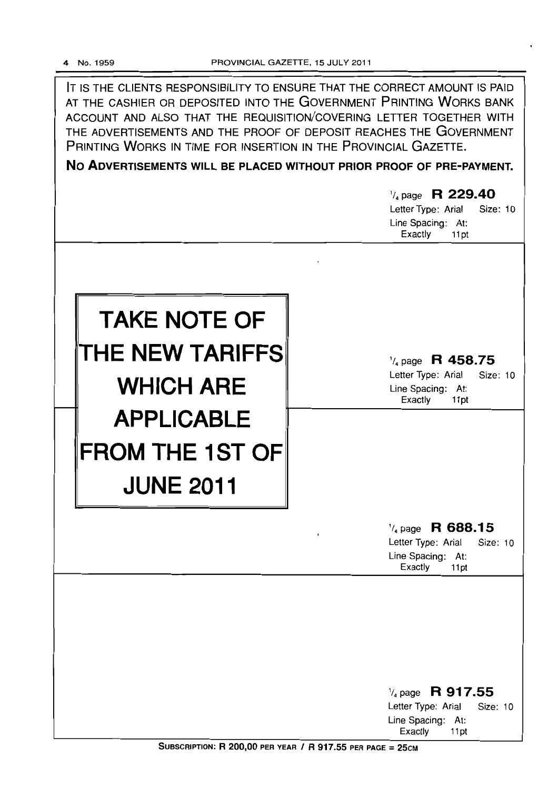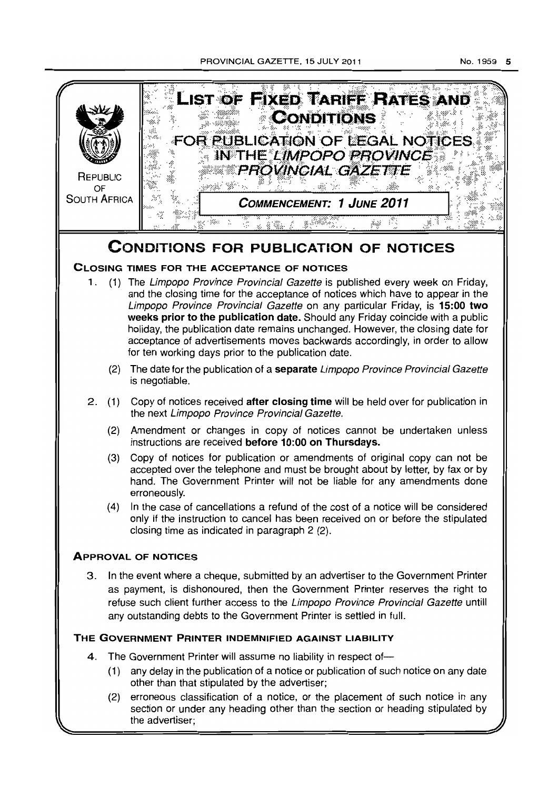PROVINCIAL GAZETTE, 15 JULY 2011 No. 1959 5



# **CONDITIONS FOR PUBLICATION OF NOTICES**

# **CLOSING TIMES FOR THE ACCEPTANCE OF NOTICES**

- 1. (1) The Limpopo Province Provincial Gazette is published every week on Friday, and the closing time for the acceptance of notices which have to appear in the Limpopo Province Provincial Gazette on any particular Friday, is **15:00 two weeks prior to the publication date.** Should any Friday coincide with a public holiday, the publication date remains unchanged. However, the closing date for acceptance of advertisements moves backwards accordingly, in order to allow tor ten working days prior to the publication date.
	- (2) The date for the publication of a **separate** Limpopo Province Provincial Gazette is negotiable.
- 2. (1) Copy of notices received **after closing time** will be held over for publication in the next Limpopo Province Provincial Gazette.
	- (2) Amendment or changes in copy of notices cannot be undertaken unless instructions are received **before 10:00 on Thursdays.**
	- (3) Copy of notices for publication or amendments of original copy can not be accepted over the telephone and must be brought about by letter, by fax or by hand. The Government Printer will not be liable for any amendments done erroneously.
	- (4) In the case of cancellations a refund of the cost of a notice will be considered only if the instruction to cancel has been received on or before the stipulated closing time as indicated in paragraph 2 (2).

# **ApPROVAL OF NOTICES**

3. In the event where a cheque, submitted by an advertiser to the Government Printer as payment, is dishonoured, then the Government Printer reserves the right to refuse such client further access to the Limpopo Province Provincial Gazette untill any outstanding debts to the Government Printer is settled in full.

# **THE GOVERNMENT PRINTER INDEMNIFIED AGAINST LIABILITY**

- 4. The Government Printer will assume no liability in respect *01-*
	- (1) any delay in the publication of a notice or publication of such notice on any date other than that stipulated by the advertiser;
	- (2) erroneous classification of a notice, or the placement of such notice in any section or under any heading other than the section or heading stipulated by the advertiser;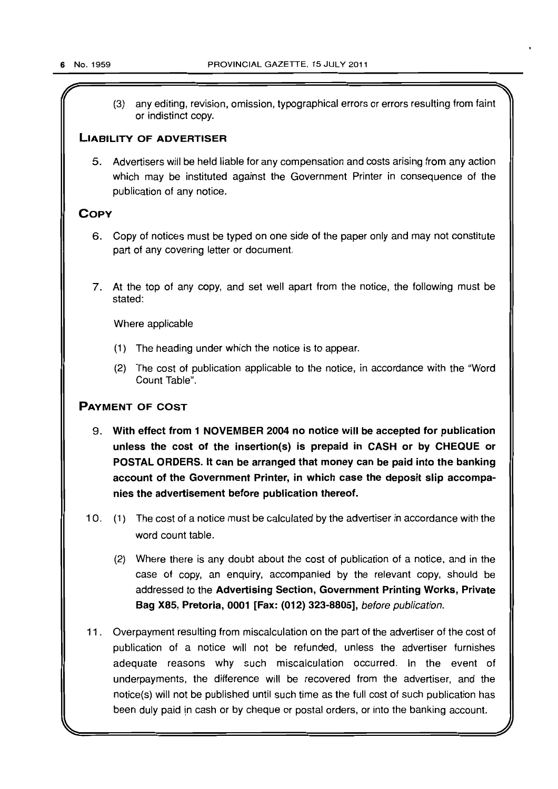$\sqrt{r}$  . The set of the set of the set of the set of the set of the set of the set of the set of the set of the set of the set of the set of the set of the set of the set of the set of the set of the set of the set of th (3) any editing, revision, omission, typographical errors or errors resulting from faint or indistinct copy.

# LIABILITY OF ADVERTISER

5. Advertisers will be held liable for any compensation and costs arising from any action which may be instituted against the Government Printer in consequence of the publication of any notice.

# **COPY**

- 6. Copy of notices must be typed on one side of the paper only and may not constitute part of any covering letter or document.
- 7. At the top of any copy, and set well apart from the notice, the following must be stated:

Where applicable

- (1) The heading under which the notice is to appear.
- (2) The cost of publication applicable to the notice, in accordance with the "Word Count Table".

# PAYMENT OF COST

- 9. With effect from 1 NOVEMBER 2004 no notice will be accepted for publication unless the cost of the insertion(s) is prepaid in CASH or by CHEQUE or POSTAL ORDERS. It can be arranged that money can be paid into the banking account of the Government Printer, in which case the deposit slip accompanies the advertisement before publication thereof.
- 10. (1) The cost of a notice must be calculated by the advertiser in accordance with the word count table.
	- (2) Where there is any doubt about the cost of publication of a notice, and in the case of copy, an enquiry, accompanied by the relevant copy, should be addressed to the Advertising Section, Government Printing Works, Private Bag X85, Pretoria, 0001 [Fax: (012) 323-8805], before publication.
- 11. Overpayment resulting from miscalculation on the part of the advertiser of the cost of publication of a notice will not be refunded, unless the advertiser furnishes adequate reasons why such miscalculation occurred. In the event of underpayments, the difference will be recovered from the advertiser, and the notice(s} will not be published until such time as the full cost of such publication has been duly paid in cash or by cheque or postal orders, or into the banking account.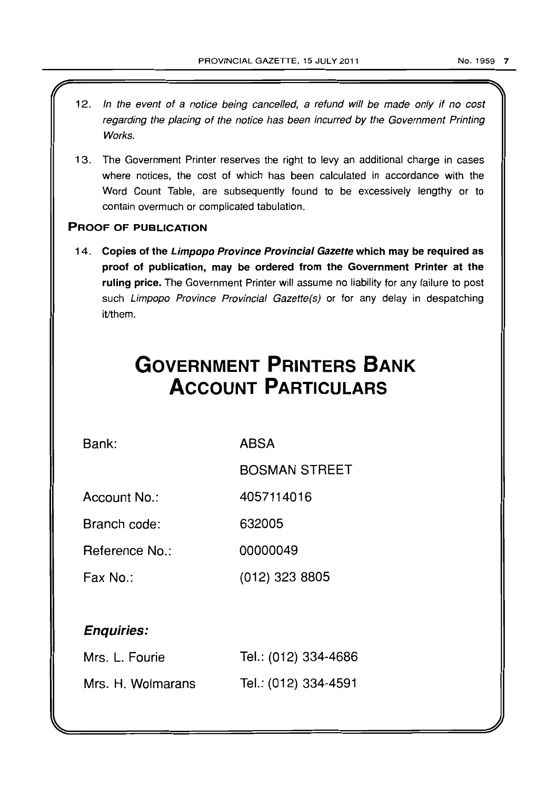- 12. In the event of a notice being cancelled, a refund will be made only if no cost regarding the placing of the notice has been incurred by the Government Printing Works.
- 13. The Government Printer reserves the right to levy an additional charge in cases where notices, the cost of which has been calculated in accordance with the Word Count Table, are subsequently found to be excessively lengthy or to contain overmuch or complicated tabulation.

# PROOF OF PUBLICATION

14. Copies of the Limpopo Province Provincial Gazette which may be required as proof of publication, may be ordered from the Government Printer at the ruling price. The Government Printer will assume no liability for any failure to post such Limpopo Province Provincial Gazette(s) or for any delay in despatching it/them.

# **GOVERNMENT PRINTERS BANK ACCOUNT PARTICULARS**

Bank:

ABSA

BOSMAN STREET

Account No.: 4057114016

Branch code: 632005

Reference No.: 00000049

Fax No.: (012) 323 8805

# Enquiries:

| Mrs. L. Fourie    | Tel.: (012) 334-4686 |
|-------------------|----------------------|
| Mrs. H. Wolmarans | Tel.: (012) 334-4591 |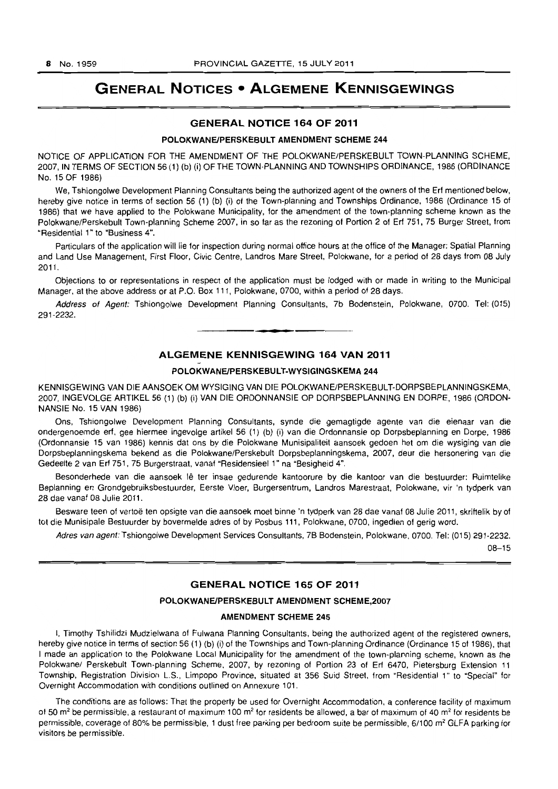# **GENERAL NOTICES • ALGEMENE KENNISGEWINGS**

# **GENERAL NOTICE 164 OF 2011**

#### **POLOKWANEIPERSKEBULT AMENDMENT SCHEME 244**

NOTICE OF APPLICATION FOR THE AMENDMENT OF THE POLOKWANE/PERSKEBULT TOWN-PLANNING SCHEME, 2007, IN TERMS OF SECTION 56 (1) (b) (i) OF THE TOWN-PLANNING AND TOWNSHIPS ORDINANCE, 1986 (ORDINANCE No. 15 OF 1986)

We, Tshiongolwe Development Planning Consultants being the authorized agent of the owners of the Erf mentioned below. hereby give notice in terms of section 56 (1) (b) (i) of the Town-planning and Townships Ordinance, 1986 (Ordinance 15 of 1986) that we have applied to the Polokwane MuniCipality, for the amendment of the town-planning scheme known as the Polokwane/Perskebult Town-planning Scheme 2007, in so far as the rezoning of Portion 2 of Erf 751. 75 Burger Street. from "Residential 1 ~ to "Business 4".

Particulars of the application will lie for inspection during normal office hours at the office of the Manager: Spatial Planning and Land Use Management. First Floor, Civic Centre, Landros Mare Street, Polokwane. for a period of 28 days from 08 July 2011.

Objections to or representations in respect of the application must be lodged with or made in writing to the Municipal Manager, at the above address or at P.O. Box 111, Polokwane, 0700. within a period of 28 days.

Address of Agent: Tshiongolwe Development Planning Consultants, 7b Bodenstein, Polokwane, 0700. Tel: (015) 291-2232.

I **• •** 

# **ALGEMENE KENNISGEWING 164 VAN 2011**

# **POLOKWANEIPERSKEBULT·WYSIGINGSKEMA 244**

KENNISGEWING VAN DIE AANSOEK OM WYSIGING VAN DIE POLOKWANE/PERSKEBULT-DORPSBEPLANNINGSKEMA. 2007, INGEVOLGE ARTIKEL 56 (1) (b) (i) VAN DIE ORDONNANSIE OP DORPSBEPLANNING EN DORPE, 1986 (ORDON-NANSIE No. 15 VAN 1986)

Ons, Tshiongolwe Development Planning Consultants, synde die gemagtigde agente van die eienaar van die ondergenoemde erf. gee hiermee ingevolge artikel 56 (1) (b) (i) van die Ordonnansie op Dorpsbeplanning en Dorpe, 1986 (Ordonnansie 15 van 1986) kennis dat ons by die Polokwane Munisipaliteit aansoek gedoen het om die wysiging van die Dorpsbeplanningskema bekend as die Polokwane/Perskebult Dorpsbeplanningskema, 2007, deur die hersonering van die Gedeelte 2 van Erf 751, 75 Burgerstraat, vanal "Residensieel 1" na "Besigheid 4".

Besonderhede van die aansoek lê ter insae gedurende kantoorure by die kantoor van die bestuurder: Ruimtelike Beplanning en Grondgebruiksbestuurder, Eerste Vloer, Burgersentrum, Landros Marestraat, Polokwane, vir 'n tydperk van 28 dae vanaf 08 Julie 2011.

Besware teen of vertoë ten opsigte van die aansoek moet binne 'n tydperk van 28 dae vanaf 08 Julie 2011, skriftelik by of tot die Munisipale Bestuurder by bovermelde adres of by Posbus 111, Polokwane, 0700, ingedien of gerig word.

Adres van agent: Tshiongolwe Development Services Consultants, 7B Bodenstein. Polokwane. 0700. Tel: (015) 291·2232.

08-15

# **GENERAL NOTICE 165 OF 2011**

#### **POLOKWANEIPERSKEBULT AMENDMENT SCHEME,2007**

#### **AMENDMENT SCHEME 245**

I. Timothy Tshilidzi Mudzielwana of Fulwana Planning Consultants, being the authorized agent of the registered owners, hereby give notice in terms of section 56 (1) (b) (i) of the Townships and Town-planning Ordinance (Ordinance 15 of 1986), that I made an application to the Polokwane Local Municipality for the amendment of the town-planning scheme, known as the Polokwane/ Perskebult Town-planning Scheme, 2007, by rezoning of Portion 23 of Erf 6470, Pietersburg Extension 11 Township. Registration Division L.S., Limpopo Province, situated at 356 Suid Street, from "Residential 1" to "Special" for Overnight Accommodation with conditions outlined on Annexure 101.

The conditions are as follows: That the property be used for Overnight Accommodation, a conference facility of maximum of 50  $m^2$  be permissible, a restaurant of maximum 100  $m^2$  for residents be allowed, a bar of maximum of 40  $m^2$  for residents be permissible, coverage of 80% be permissible, 1 dust free parking per bedroom suite be permissible, 6/100 m<sup>2</sup> GLFA parking for visitors be permissible.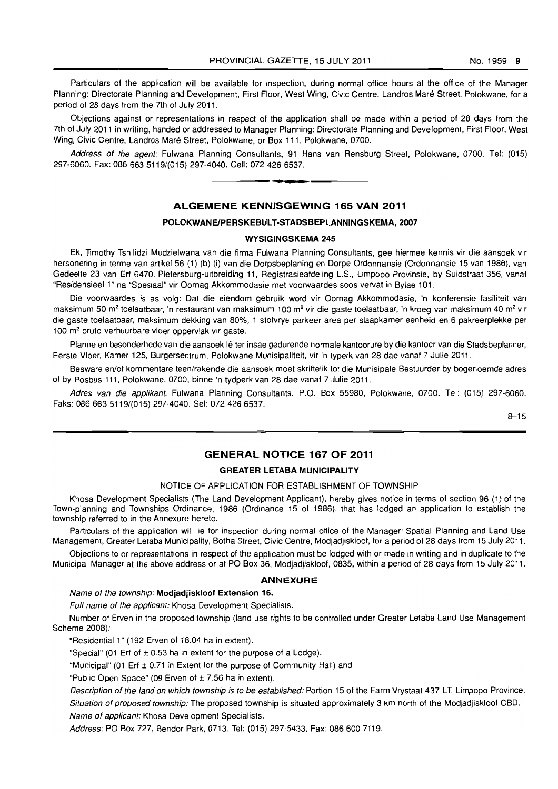Particulars of the application will be available for inspection, during normal office hours at the office of the Manager Planning: Directorate Planning and Development, First Floor, West Wing, Civic Centre, Landros Maré Street, Polokwane, for a period of 28 days from the 7th of July 2011.

Objections against or representations in respect of the application shall be made within a period 01 28 days from the 7th of July 2011 in writing, handed or addressed to Manager Planning: Directorate Planning and Development, First Floor, West Wing, Civic Centre, Landros Maré Street, Polokwane, or Box 111, Polokwane, 0700.

Address of the agent: Fulwana Planning Consultants, 91 Hans van Rensburg Street, Polokwane, 0700. Tel: (015) 297-6060. Fax: 086 663 5119/(015) 297-4040. Cell: 072 426 6537.

#### **ALGEMENE KENNISGEWING 165 VAN 2011**

**• •** 

### **POLOKWANEIPERSKEBULT-STADSBEPLANNINGSKEMA,2007**

#### **WYSIGINGSKEMA** 245

Ek, Timothy Tshilidzi Mudzielwana van die firma Fulwana Planning Consultants, gee hiermee kennis vir die aansoek vir hersonering in terme van artikel 56 (1) (b) (i) van die Dorpsbeplaning en Dorpe Ordonnansie (Ordonnansie 15 van 1986), van Gedeelte 23 van Erf 6470, Pietersburg-uitbreiding 11, Registrasieafdeling LS., Limpopo Provinsie, by Suidstraat 356, vanaf "Residensieel 1" na ·Spesiaal" vir Oornag Akkommodasie met voorwaardes soos verval in Bylae 101.

Die voorwaardes is as volg: Oat die eiendom gebruik word vir Oornag Akkommodasie, 'n konferensie fasiliteit van maksimum 50 m<sup>2</sup> toelaatbaar, 'n restaurant van maksimum 100 m<sup>2</sup> vir die gaste toelaatbaar, 'n kroeg van maksimum 40 m<sup>2</sup> vir die gaste toelaatbaar, maksimum dekking van 80%, 1 stofvrye parkeer area per slaapkamer eenheid en 6 pakreerplekke per 100 m<sup>2</sup> bruto verhuurbare vloer oppervlak vir gaste.

Planne en besonderhede van die aansoek Iê ter insae gedurende normale kantoorure by die kantoor van die Stadsbeplanner, Eerste Vloer, Kamer 125, Burgersentrum, Polokwane Munisipaliteit, vir 'n typerk van 28 dae vanaf 7 JUlie 2011.

Besware en/of kommentare teen/rakende die aansoek moet skriftelik tot die Munisipale Bestuurder by bogenoemde adres of by Posbus 111, Polokwane, 0700, binne 'n tydperk van 28 dae vanaf 7 Julie 2011.

Adres van die applikant: Fulwana Planning Consultants, P.O. Box 55980, Polokwane, 0700. Tel: (015) 297-6060. Faks: 086 663 5119/(015) 297-4040. Sel: 072 426 6537.

 $8 - 15$ 

# **GENERAL NOTICE 167 OF 2011**

# **GREATER LETABA** MUNICIPALITY

#### NOTICE OF APPLICATION FOR ESTABLISHMENT OF TOWNSHIP

Khosa Development Specialists (The Land Development Applicant), hereby gives notice in terms of section 96 (1) of the Town-planning and Townships Ordinance, 1986 (Ordinance 15 ot 1986), that has lodged an application to establish the township referred to in the Annexure hereto.

Particulars of the application will lie for inspection during normal office of the Manager: Spatial Planning and Land Use Management, Greater Letaba Municipality, Botha Street, Civic Centre, Modjadjiskloof, tor a period of 28 days from 15 July 2011.

Objections to or representations in respect of the application must be lodged with or made in writing and in duplicate to the Municipal Manager at the above address or at PO Box 36, Modjadjiskloof, 0835, within a period of 28 days from 15 July 2011.

#### **ANNEXURE**

## Name of the township: Modjadjiskloof Extension 16.

Full name of the applicant: Khosa Development Specialists.

Number of Erven in the proposed township (land use rights to be controlled under Greater Letaba Land Use Management Scheme 2008):

"Residential 1" (192 Erven of 18.04 ha in extent).

"Special" (01 Erf of  $\pm$  0.53 ha in extent for the purpose of a Lodge).

"Municipal" (01 Erf ± 0.71 in Extent for the purpose of Community Hall) and

"Public Open Space" (09 Erven of ± 7.56 ha in extent).

Description of the land on which township is to be established: Portion 15 of the Farm Vrystaat 437 LT, Limpopo Province. Situation of proposed township: The proposed township is situated approximately 3 km north of the Modjadjiskloof CBD. Name of applicant: Khosa Development Specialists.

Address: PO Box 727, Bendor Park, 0713. Tel: (015) 297-5433. Fax: 0866007119.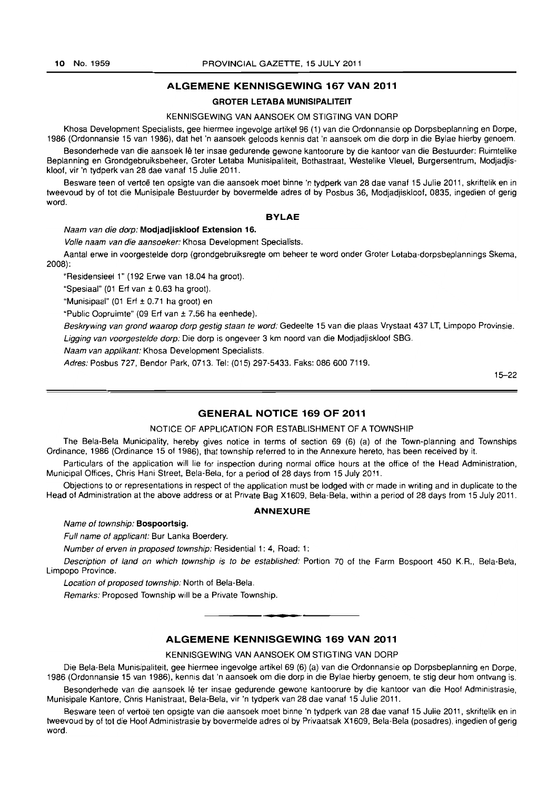#### ALGEMENE KENNISGEWING 167 VAN 2011

# GROTER LETABA MUNISIPALITEIT

#### KENNISGEWING VAN AANSOEK OM STIGTING VAN DORP

Khosa Development Specialists, gee hiermee ingevolge artikel 96 (1) van die Ordonnansie op Dorpsbeplanning en Dorpe, 1986 (Ordonnansie 15 van 1986), dat het 'n aansoek geloods kennis dat 'n aansoek om die dorp in die Bylae hierby genoem.

Besonderhede van die aansoek Ie ter insae gedurende gewone kantoorure by die kantoor van die Bestuurder: Ruimtelike Beplanning en Grondgebruiksbeheer, Groter letaba Munisipaliteit, Bothastraat, Westelike Vleuel, Burgersentrum, Modjadjiskloof, vir 'n tydperk van 28 dae vanaf 15 Julie 2011.

Besware teen of vertoë ten opsigte van die aansoek moet binne 'n tydperk van 28 dae vanaf 15 Julie 2011, skriftelik en in tweevoud by of tot die Munisipale Bestuurder by bovermelde adres of by Posbus 36, Modjadjiskloof, 0835, ingedien of gerig word.

#### BYLAE

Naam van die dorp: Modjadjiskloof Extension 16.

Volle naam van die aansoeker: Khosa Development Specialists.

Aantal erwe in voorgestelde dorp (grondgebruiksregte om beheer te word onder Groter Letaba-dorpsbeplannings Skema, 2008):

"Residensieel 1" (192 Erwe van 18.04 ha groat).

"Spesiaal" (01 Erf van ± 0.63 ha groot).

"Munisipaal" (01 Erf  $\pm$  0.71 ha groot) en

"Public Oopruimte" (09 Erf van ± 7.56 ha eenhede).

Beskrywing van grond waarop dorp gestig staan te word: Gedeelte 15 van die plaas Vrystaat 437 LT, Limpopo Provinsie. Ligging van voorgestelde dorp: Die dorp is ongeveer 3 km noord van die Modjadjiskloof SBG.

Naam van applikant: Khosa Development Specialists.

Adres: Posbus 727, Bendor Park, 0713. Tel: (015) 297-5433. Faks: 086 600 7119.

15-22

# GENERAL NOTICE 169 OF 2011

#### NOTICE OF APPLICATION FOR ESTABLISHMENT OF A TOWNSHIP

The Bela-Bela Municipality, hereby gives notice in terms of section 69 (6) (a) of the Town-planning and Townships Ordinance, 1986 (Ordinance 15 of 1986), that township referred to in the Annexure hereto, has been received by it.

Particulars of the application will lie for inspection during normal office hours at the office of the Head Administration, Municipal Offices, Chris Hani Street, Bela-Bela, for a period of 28 days from 15 July 2011.

Objections to or representations in respect of the application must be lodged with or made in writing and in duplicate to the Head of Administration at the above address or at Private Bag X1609, Bela-Bela, within a period of 28 days from 15 July 2011.

#### ANNEXURE

Name of township: Bospoortsig.

Full name of applicant: Bur Lanka Boerdery.

Number of erven in proposed township: Residential 1: 4, Road: 1:

Description of land on which township is to be established: Portion 70 of the Farm Bospoort 450 K.R., Bela-Bela, Limpopo Province.

Location of proposed township: North of Bela-Bela.

Remarks: Proposed Township will be a Private Township.

# ALGEMENE KENNISGEWING 169 VAN 2011

**•** 

KENNISGEWING VAN AANSOEK OM STIGTING VAN DORP

Die Bela-Bela Munisipaliteit, gee hiermee ingevolge artikel 69 (6) (a) *van* die Ordonnansie op Dorpsbeplanning en Dorpe, 1986 (Ordonnansie 15 *van* 1986), kennis dat 'n aansoek om die dorp in die Bylae hierby genoem, te stig deur hom ontvang is.

Besonderhede van die aansoek lê ter insae gedurende gewone kantoorure by die kantoor van die Hoof Administrasie, Munisipale Kantore, Chris Hanistraat, Bela-Bela, vir 'n tydperk van 28 dae vanaf 15 Julie 2011.

Besware teen of vertoë ten opsigte van die aansoek moet binne 'n tydperk van 28 dae vanaf 15 Julie 2011, skriftelik en in tweevoud by of tot die Hoof Administrasie by bovermelde adres of by Privaatsak X1609, Bela-Bela (posadres), ingedien of gerig word.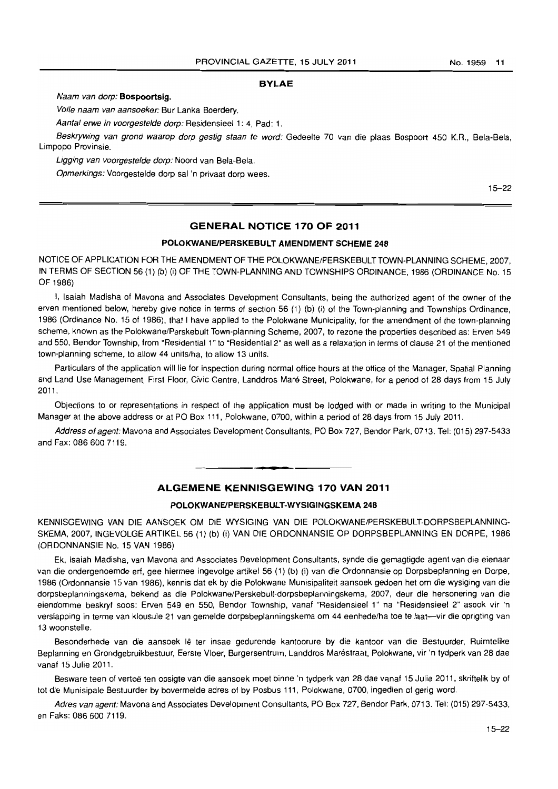#### **BYLAE**

Naam van dorp: **Bospoortsig.** 

Vofle naam van aansoeker: Bur Lanka Boerdery.

Aantal erwe in voorgestelde dorp: Residensieel 1: 4, Pad: 1.

Beskrywing van grond waarop dorp gestig staan te word: Gedeelte 70 van die plaas Bospoort 450 K.R., Bela-Bela, Limpopo Provinsie.

Ligging van voorgestelde dorp: Noord van Bela-Bela.

Opmerkings: Voorgestelde dorp sal 'n privaat dorp wees.

15-22

### **GENERAL NOTICE 170 OF 2011**

# **POLOKWANEIPERSKEBULT AMENDMENT SCHEME 248**

NOTICE OF APPLICATION FOR THE AMENDMENT OF THE POLOKWANE/PERSKEBULT TOWN-PLANNING SCHEME, 2007, IN TERMS OF SECTION 56 (1) (b) (i) OF THE TOWN-PLANNING AND TOWNSHIPS ORDINANCE, 1986 (ORDINANCE No. 15 OF 1986)

I, Isaiah Madisha of Mavona and Associates Development Consultants, being the authorized agent of the owner of the erven mentioned below, hereby give notice in terms of section 56 (1) (b) (i) of the Town-planning and Townships Ordinance, 1986 (Ordinance No. 15 of 1986), that f have applied to the Polokwane Municipality, for the amendment of the town-planning scheme, known as the Polokwane/Perskebult Town-planning Scheme, 2007, to rezone the properties described as: Erven 549 and 550, Bendor Township, from "Residential 1" to "Residential 2" as well as a relaxation in terms of clause 21 of the mentioned town-planning scheme, to allow 44 units/ha, to allow 13 units.

Particulars of the application will lie for inspection during normal office hours at the office of the Manager, Spatial Planning and Land Use Management, First Floor, Civic Centre, Landdros Maré Street, Polokwane, for a period of 28 days from 15 July 2011.

Objections to or representations in respect of the application must be lodged with or made in writing to the Municipal Manager at the above address or at PO Box 111, Polokwane, 0700, within a period 01 28 days from 15 July 2011.

Address of agent: Mavona and Associates Development Consultants, PO Box 727, Bendor Park, 0713. Tel: (015) 297-5433 and Fax: 086 600 7119.

# **ALGEMENE KENNISGEWING 170 VAN 2011**

**• •** 

#### **POLOKWANEIPERSKEBULT-WYSIGINGSKEMA 248**

KENNISGEWING VAN DIE AANSOEK OM DIE WYSIGING VAN DIE POLOKWANE/PERSKEBULT-DORPSBEPLANNING-SKEMA, 2007, INGEVOLGE ARTIKEL 56 (1) (b) (i) VAN DIE ORDONNANSIE OP DORPSBEPLANNING EN DORPE, 1986 (ORDONNANSIE No. 15 VAN 1986)

Ek, Isaiah Madisha, van Mavona and Associates Development Consultants, synde die gemagtigde agent van die eienaar van die ondergenoemde erf, gee hiermee ingevolge artikel 56 (1) (b) (i) van die Ordonnansie op Dorpsbeplanning en Dorpe, 1986 (Ordonnansie 15 van 1986), kennis dat ek by die Polokwane Munisipaliteit aansoek gedoen het om die wysiging van die dorpsbeplanningskema, bekend as die Polokwane/Perskebult-dorpsbeplanningskema, 2007, deur die hersonering van die eiendomme beskryf soos: Erven 549 en 550, Bendor Township, vanal "Residensieel 1" na "Residensieel 2" asook vir 'n verslapping in terme van klousule 21 van gemelde dorpsbeplanningskema om 44 eenhede/ha toe te laat--vir die oprigting van 13 woonstelle.

Besonderhede van die aansoek lê ter insae gedurende kantoorure by die kantoor van die Bestuurder, Ruimtelike Beplanning en Grondgabruikbestuur, Earste Vloer, Burgersentrum, Landdros Marestraat, Polokwane, vir 'n tydperk van 28 dae vanaf 15 Julie 2011.

Besware teen of vertoë ten opsigte van die aansoek moet binne 'n tydperk van 28 dae vanaf 15 Julie 2011, skriftelik by of tot die Munisipale Bestuurder by bovermelde adres of by Posbus 111, Polokwane, 0700, ingedien of gerig word.

Adres van agent: Mavona and Associates Development Consultants, PO Box 727, Bendor Park, 0713. Tel: (015) 297-5433, en Faks: 086 600 7119.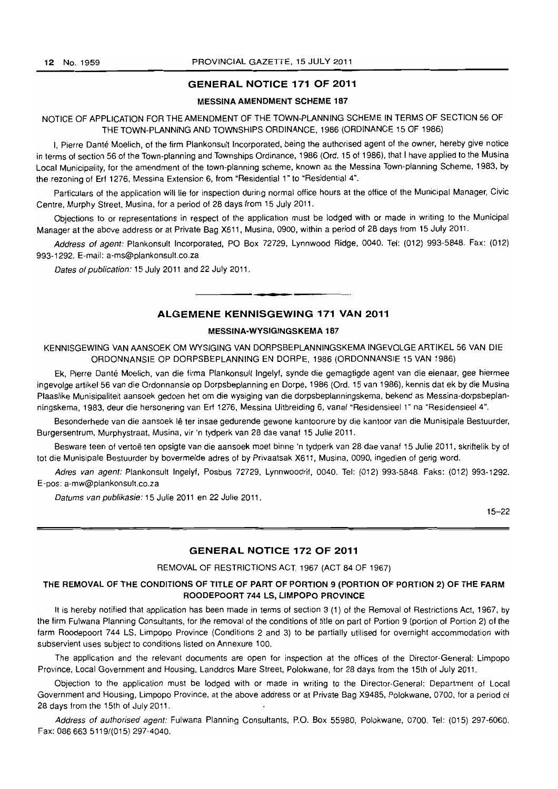#### GENERAL NOTICE 171 OF 2011

# MESSINA AMENDMENT SCHEME 187

NOTICE OF APPLICATION FOR THE AMENDMENT OF THE TOWN-PLANNING SCHEME IN TERMS OF SECTION 56 OF THE TOWN-PLANNING AND TOWNSHIPS ORDINANCE, 1986 (ORDINANCE 15 OF 1986)

I, Pierre Dante Moelich, of the firm Plankonsult Incorporated, being the authorised agent of the owner, hereby give notice in terms of section 56 of the Town-planning and Townships Ordinance, 1986 (Ord. 15 of 1986), that I have applied to the Musina Local Municipality, for the amendment of the town-planning scheme, known as the Messina Town-planning Scheme, 1983. by the rezoning of Erf 1276, Messina Extension 6, from "Residential 1" to "Residential 4".

Particulars of the application will lie for inspection during normal office hours at the office of the Municipal Manager, Civic Centre, Murphy Street, Musina, for a period of 28 days from 15 July 2011.

Objections to or representations in respect of the application must be lodged with or made in writing to the Municipal Manager at the above address or at Private Bag X611. Musina, 0900, within a period of 28 days from 15 July 2011.

Address of agent: Plankonsult Incorporated, PO Box 72729, Lynnwood Ridge, 0040. Tel: (012) 993-5848. Fax: (012) 993-1292. E-mail: a-ms@plankonsult.co.za

Dates of publication: 15 July 2011 and 22 July 2011.

# ALGEMENE KENNISGEWING 171 VAN 2011

. **\_.** 

#### MESSINA-WYSIGINGSKEMA 187

KENNISGEWING VAN AANSOEK OM WYSIGING VAN DORPSBEPLANNINGSKEMA INGEVOLGE ARTIKEL 56 VAN DIE ORDONNANSIE OP DORPSBEPLANNING EN DORPE, 1986 (ORDONNANSIE 15 VAN 1986)

Ek, Pierre Dante Moelich, van die firma Plankonsult Ingelyf. synde die gemagtigde agent van die eienaar, gee hiermee ingevolge artikel 56 van die Ordonnansie op Dorpsbeplanning en Dorpe, 1986 (Ord. 15 van 1986), kennis dat ek by die Musina Plaaslike Munisipaliteit aansoek gedoen het om die wysiging van die dorpsbeplanningskema, bekend as Messina-dorpsbeplanningskema, 1983, deur die hersonering van Erf 1276, Messina Uitbreiding 6, vanaf "Residensieel 1" na "Residensieel 4".

Besonderhede van die aansoek lê ter insae gedurende gewone kantoorure by die kantoor van die Munisipale Bestuurder, Burgersentrum, Murphystraat, Musina, vir 'n tydperk van 28 dae vanaf 15 Julie 2011.

Besware teen of vertoë ten opsigte van die aansoek moet binne 'n tydperk van 28 dae vanaf 15 Julie 2011, skriftelik by of tot die Munisipate Bestuurder by bovermelde adres of by Privaatsak X611, Musina, 0090, ingedien of gerig word.

Adres van agent: Plankonsult Ingelyf, Posbus 72729, Lynnwoodrif, 0040. Tel: (012) 993-5848. Faks: (012) 993-1292. E-pos: a-mw@plankonsult.co.za

Datums van publikasie: 15 Julie 2011 en 22 Julie 2011.

15-22

#### GENERAL NOTICE 172 OF 2011

#### REMOVAL OF RESTRICTIONS ACT, 1967 (ACT 84 OF 1967)

# THE REMOVAL OF THE CONDITIONS OF TITLE OF PART OF PORTION 9 (PORTION OF PORTION 2) OF THE FARM ROODEPOORT 744 LS, LIMPOPO PROVINCE

It is hereby notified that application has been made in terms of section 3 (1) of the Removal of Restrictions Act, 1967, by the firm Fulwana Planning Consultants, for the removal of the conditions of title on part of Portion 9 (portion of Portion 2) of the farm Roodepoort 744 LS, limpopo Province (Conditions 2 and 3) to be partially utilised for overnight accommodation with subservient uses subject to conditions listed on Annexure 100.

The application and the relevant documents are open for inspection at the offices of the Director-General: Limpopo Province, Local Government and Housing, Landdros Mare Street, Polokwane, for 28 days from the 15th of July 2011.

Objection to the application must be lodged with or made in writing to the Director-General: Department of Local Government and Housing, limpopo Province, at the above address or at Private Bag X9485, Polokwane, 0700, for a period of 28 days from the 15th 01 July 2011.

Address of authorised agent: Fulwana Planning Consultants, P.O. Box 55980, Polokwane, 0700. Tel: (015) 297-6060. Fax: 086 663 5119/(015) 297-4040.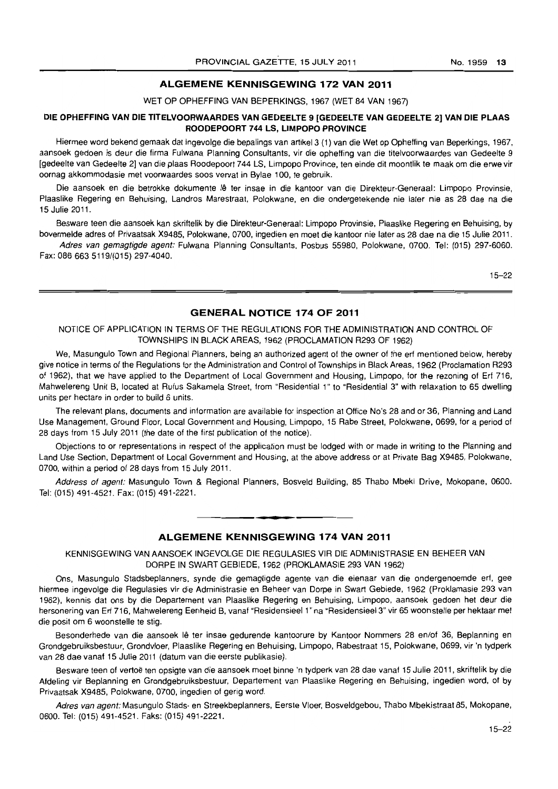# ALGEMENE KENNISGEWING 172 VAN 2011

WET OP OPHEFFING VAN BEPERKINGS, 1967 (WET 84 VAN 1967)

#### DIE OPHEFFING VAN DIE TITELVOORWAARDES VAN GEDEELTE 9 [GEDEELTE VAN GEDEELTE 2] VAN DIE PLAAS ROODEPOORT 744 LS, LIMPOPO PROVINCE

Hiermee word bekend gemaak dat ingevolge die bepalings van artikel3 (1) van die Wet op Opheffing van Beperkings, 1967, aansoek gedoen is deur die firma Fulwana Planning Consultants, vir die opheffing van die titelvoorwaardes van Gedeelte 9 [gedeelte van Gedeelte 2] van die plaas Roodepoort 744 LS, Limpopo Province, ten einde dit moontlik Ie maak om die erwe vir oornag akkommodasie met voorwaardes soos verval in Bylae 100, Ie gebruik.

Die aansoek en die betrokke dokumente lê ter insae in die kantoor van die Direkteur-Generaal: Limpopo Provinsie, Plaaslike Regering en Behuising, Landros Marestraat. Polokwane. en die ondergetekende nie later nie as 28 dae na die 15 Julie 2011.

Besware teen die aansoek kan skriftelik by die Direkteur-Generaal: Limpopo Provinsie. Plaaslike Regering en Behuising. by bovermelde adres of Privaatsak X9485. Polokwane, 0700, ingedien en moet die kanloor nie later as 28 dae na die 15 Julie 2011.

Adres van gemagtigde agent: Fulwana Planning Consultants, Posbus 55980. Polokwane, 0700. Tel: (015) 297-6060. Fax: 086 663 5119/(015) 297·4040.

15-22

# GENERAL NOTICE 174 OF 2011

#### NOTICE OF APPLICATION IN TERMS OF THE REGULATIONS FOR THE ADMINISTRATION AND CONTROL OF TOWNSHIPS IN BLACK AREAS, 1962 (PROCLAMATION R293 OF 1962)

We, Masungulo Town and Regional Planners, being an authorized agent of the owner of the ert mentioned below, hereby give notice in terms of the Regulations for the Administration and Control of Townships in Black Areas, 1962 (Proclamation R293 of 1962), that we have applied to the Department of Local Government and Housing, Limpopo, lor the rezoning of Erf 716, Mahwelereng Unit B, located at Rufus Sakamela Street, from "Residential 1" to "Residential 3" with relaxation to 65 dwelling units per hectare in order to build 6 units.

The relevant plans, documents and information are available tor inspection at Office No's 28 and or 36, Planning and Land Use Management, Ground Floor, Local Government and Housing, Limpopo, 15 Rabe Street. Polokwane, 0699, for a period of 28 days from 15 July 2011 (the date of the first publication of the notice).

Objections to or representations in respect of the application must be lodged with or made in writing to the Planning and Land Use Section, Department of Local Government and Housing, at the above address or at Private Bag X9485, Polokwane, 0700, within a period of 28 days from 15 July 2011.

Address of agent: Masungulo Town & Regional Planners, Bosveld Building, 85 Thabo Mbeki Drive, Mokopane, 0600. Tel: (015) 491·4521. Fax: (015)491-2221.

# ALGEMENE KENNISGEWING 174 VAN 2011

**• •** 

KENNISGEWING VAN AANSOEK INGEVOLGE DIE REGULASIES VIR DIE ADMINISTRASIE EN BEHEER VAN DORPE IN SWARTGEBIEDE, 1962 (PROKLAMASIE 293 VAN 1962)

Ons, Masungulo Stadsbeplanners, synde die gemagtigde agente van die eienaar van die ondergenoemde ert, gee hiermee ingevolge die Regulasies vir die Administrasie en Beheer van Dorpe in Swart Gebiede, 1962 (Proklamasie 293 van 1962). kennis dat ons by die Departement van Plaaslike Regering en Behuising, Limpopo, aansoek gedoen het deur die hersonering van Erf 716, Mahwelereng Eenheid B, vanaf "Residensieel 1" na "Residensieel 3" vir 65 woonstelle per hektaar met die posit om 6 woonstelle te stig.

Besonderhede van die aansoek lê ter insae gedurende kantoorure by Kantoor Nommers 28 en/of 36, Beplanning en Grondgebruiksbestuur, Grondvloer, Plaaslike Regering en Behuising, Limpopo. Rabestraat 15, Polokwane, 0699, vir 'n tydperk van 28 dae vanaf 15 Julie 2011 (datum van die eerste publikasie).

Besware teen of vertoë ten opsigte van die aansoek moet binne 'n tydperk van 28 dae vanaf 15 Julie 2011, skriftelik by die Afdeling vir Seplanning en Grondgebruiksbestuur, Departement van Plaaslike Regering en Behuising. ingedien word, of by Privaatsak X9485, Polokwane, 0700, ingedien of gerig word.

Adres van agent: Masungulo Stads- en Streekbeplanners, Eerste Vloer, Bosveldgebou, Thabo Mbekistraat 85, Mokopane, 0600. Tel: (015) 491-4521. Faks: (015) 491-2221.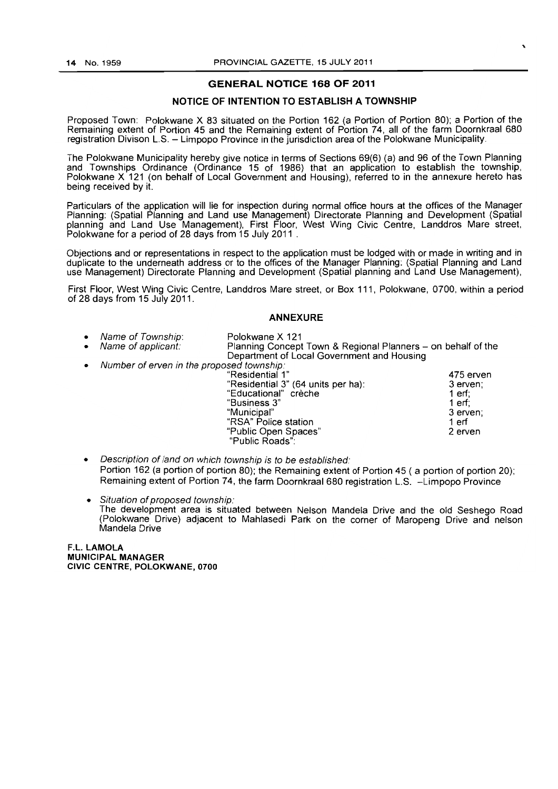# GENERAL NOTICE 168 OF 2011

# NOTICE OF INTENTION TO ESTABLISH A TOWNSHIP

Proposed Town: Polokwane X 83 situated on the Portion 162 (a Portion of Portion 80); a Portion of the Remaining extent of Portion 45 and the Remaining extent of Portion 74, all of the farm Doornkraal 680 registration Divison L.S. - Limpopo Province in the jurisdiction area of the Polokwane Municipality.

The Polokwane Municipality hereby give notice in terms of Sections 69(6) (a) and 96 of the Town Planning and Townships Ordinance (Ordinance 15 of 1986) that an application to establish the township, Polokwane X 121 (on behalf of Local Government and Housing), referred to in the annexure hereto has being received by it.

Particulars of the application will lie for inspection during normal office hours at the offices of the Manager Planning: (Spatial Planning and Land use Management) Directorate Planning and Development (Spatial planning and Land Use Management), First Floor, West Wing Civic Centre, Landdros Mare street, Polokwane for a period of 28 days from 15 July 2011 .

Objections and or representations in respect to the application must be lodged with or made in writing and in duplicate to the underneath address or to the offices of the Manager Planning: (Spatial Planning and Land use Management) Directorate Planning and Development (Spatial planning and Land Use Management),

First Floor, West Wing Civic Centre, Landdros Mare street, or Box 111, Polokwane, 0700, within a period of 28 days from 15 July 2011.

# ANNEXURE

- - Name of Township: Polokwane X 121 Planning Concept Town & Regional Planners - on behalf of the Department of Local Government and Housing
- Number of erven in the proposed township:

| "Residential 1"                    | 475 erven |
|------------------------------------|-----------|
| "Residential 3" (64 units per ha): | 3 erven:  |
| "Educational" crèche               | 1 erf:    |
| "Business 3"                       | 1 erf:    |
| "Municipal"                        | 3 erven;  |
| "RSA" Police station               | 1 erf     |
| "Public Open Spaces"               | 2 erven   |
| "Public Roads":                    |           |

- Description of land on which township is to be established: Portion 162 (a portion of portion 80); the Remaining extent of Portion 45 ( a portion of portion 20); Remaining extent of Portion 74, the farm Doornkraal 680 registration L.S. -Limpopo Province
- Situation of proposed township: The development area is situated between Nelson Mandela Drive and the old Seshego Road (Polokwane Drive) adjacent to Mahlasedi Park on the corner of Maropeng Drive and nelson Mandela Drive

F.L. LAMOLA MUNICIPAL MANAGER CIVIC CENTRE, POLOKWANE, 0700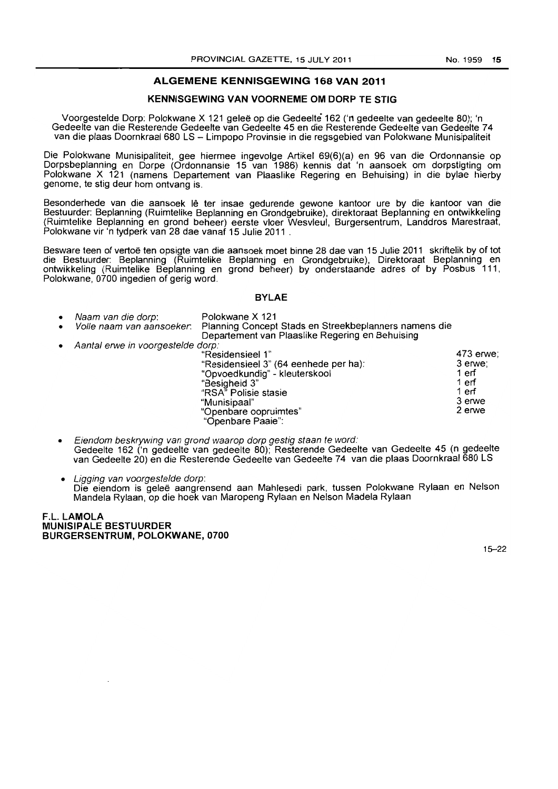## **ALGEMENE KENNISGEWING 168 VAN 2011**

# **KENNISGEWING VAN VOORNEME OM DORP TE STIG**

Voorgestelde Dorp: Polokwane X 121 geleë op die Gedeelte 162 ('n gedeelte van gedeelte 80); 'n Gedeelte van die Resterende Gedeelte van Gedeelte 45 en die Resterende Gedeelte van Gedeelte 74 van die plaas Doornkraal680 LS - Limpopo Provinsie in die regsgebied van Polokwane Munisipaliteit

Die Polokwane Munisipaliteit, gee hiermee ingevolge Artikel 69(6)(a) en 96 van die Ordonnansie op Dorpsbeplanning en Dorpe (Ordonnansie 15 van 1986) kennis dat 'n aansoek om dorpstigting om Polokwane X 121 (namens Departement van Plaaslike Regering en Behuising) in die bylae hierby genome, te stig deur hom ontvang is.

Besonderhede van die aansoek lê ter insae gedurende gewone kantoor ure by die kantoor van die Bestuurder: Beplanning (Ruimtelike Beplanning en Grondgebruike), direktoraat Beplanning en ontwikkeling (Ruimtelike Beplanning en grond beheer) eerste vloer Wesvleul, Burgersentrum, Landdros Marestraat, Polokwane vir 'n tydperk van 28 dae vanaf 15 Julie 2011 .

Besware teen of vertoë ten opsigte van die aansoek moet binne 28 dae van 15 Julie 2011 skriftelik by of tot die Bestuurder: Beplanning (Ruimtelike Beplanning en Grondgebruike), Direktoraat Beplanning en ontwikkeling (Ruimtelike Beplanning en grond beheer) by onderstaande adres of by Posbus 111, Polokwane, 0700 ingedien of gerig word,

**BYLAE** 

| ٠ | Naam van die dorp:<br>Aantal erwe in voorgestelde dorp: | Polokwane X 121<br>Volle naam van aansoeker: Planning Concept Stads en Streekbeplanners namens die<br>Departement van Plaaslike Regering en Behuising                                             |                                                                     |
|---|---------------------------------------------------------|---------------------------------------------------------------------------------------------------------------------------------------------------------------------------------------------------|---------------------------------------------------------------------|
| ٠ |                                                         | "Residensieel 1"<br>"Residensieel 3" (64 eenhede per ha):<br>"Opvoedkundig" - kleuterskool<br>"Besigheid 3"<br>"RSA" Polisie stasie<br>"Munisipaal"<br>"Openbare oopruimtes"<br>"Openbare Paaie": | 473 erwe;<br>3 erwe:<br>1 erf<br>1 erf<br>1 erf<br>3 erwe<br>2 erwe |

- Eiendom beskrywing van grond waarop dorp gestig staan fe word: Gedeelte 162 ('n gedeelte van gedeelte 80); Resterende Gedeelte van Gedeelte 45 (n gedeelte van Gedeelte 20) en die Resterende Gedeelte van Gedeelte 74 van die plaas Doornkraal 680 LS
- Ligging van voorgestelde dorp: Die eiendom is gelee aangrensend aan Mahlesedi park, tussen Polokwane Rylaan en Nelson Mandela Rylaan, op die hoek van Maropeng Rylaan en Nelson Madela Rylaan

#### F.L **LAMOLA MUNISIPALE BESTUURDER BURGERSENTRUM, POLOKWANE, 0700**

15-22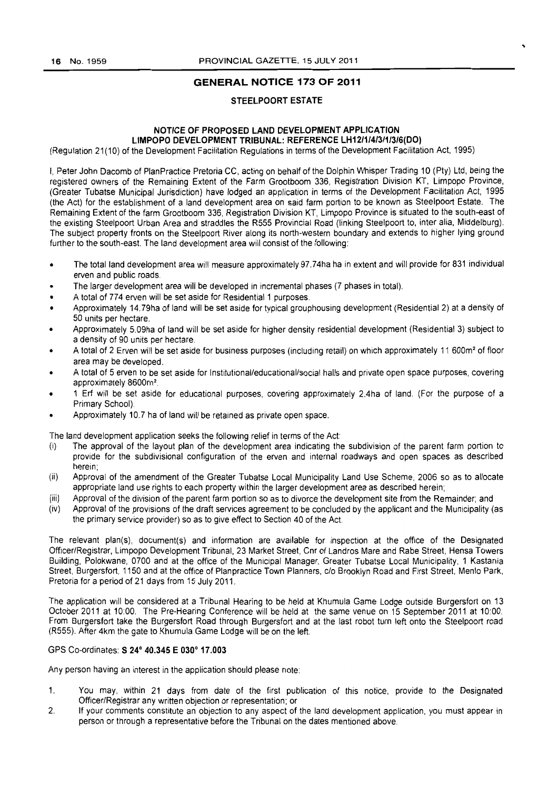# GENERAL NOTICE 173 OF 2011

# STEELPOORT ESTATE

### NOTICE OF PROPOSED LAND DEVELOPMENT APPLICATION LIMPOPO DEVELOPMENT TRIBUNAL: REFERENCE LH12f1f4f3/11316(DO)

(Regulation 21(10) of the Development Facilitation Regulations in terms of the Development Facilitation Act. 1995)

I, Peter John Dacomb of PlanPractice Pretoria CC, acting on behalf of the Dolphin Whisper Trading 10 (Pty) Ltd, being the registered owners of the Remaining Extent of the Farm Grootboom 336, Registration Division KT, Limpopo Province, (Greater Tubatse Municipal Jurisdiction) have lodged an application in terms of the Development Facilitation Act, 1995 (the Act) for the establishment of a land development area on said farm portion to be known as Steelpoort Estate. The Remaining Extent of the farm Grootboom 336, Registration Division KT, Limpopo Province is situated to the south-east of the existing Steelpoort Urban Area and straddles the R555 Provincial Road (linking Steelpoort to, inter alia, Middelburg). The subject property fronts on the Steelpoort River along its north-western boundary and extends to higher lying ground further to the south-east. The land development area will consist of the following:

- The total land development area will measure approximately 97.74ha ha in extent and will provide for 831 individual erven and public roads.
- The larger development area will be developed in incremental phases (7 phases in total).
- A total of 774 erven will be set aside for Residential 1 purposes.
- Approximately 14.79ha of land will be set aside for typical grouphousing development (Residential 2) at a density of 50 units per hectare.
- Approximately 5.09ha of land will be set aside for higher density residential development (Residential 3) subject to a density of 90 units per hectare.
- A total of 2 Erven will be set aside for business purposes (including retail) on which approximately 11 600m<sup>2</sup> of floor area may be developed.
- A total of 5 erven to be set aside for Institutional/educational/social halls and private open space purposes, covering approximately 8600m2.
- 1 Erf will be set aside for educational purposes, covering approximately 2.4ha of land, (For the purpose of a Primary School).
- Approximately 10.7 ha of land will be retained as private open space.

The land development application seeks the following relief in terms of the Act:

- (I) The approval of the layout plan of the development area indicating the subdivision of the parent farm portion to provide for the subdivisional configuration of the erven and internal roadways and open spaces as described herein;
- (ii) Approval of the amendment of the Greater Tubatse Local Municipality Land Use Scheme, 2006 so as to allocate appropriate land use rights to each property within the larger development area as described herein;
- (iii) Approval of the division of the parent farm portion so as to divorce the development site from the Remainder; and
- (iv) Approval of the provisions of the draft services agreement to be concluded by the applicant and the Municipality (as the primary service provider) so as to give effect to Section 40 of the Act

The relevant plan(s), document(s) and information are available for inspection at the office of the Designated Officer/Registrar, Limpopo Development Tribunal, 23 Market Street, Cnr of landros Mare and Rabe Street, Hensa Towers Building, Polokwane, 0700 and at the office of the Municipal Manager, Greater Tubatse Local Municipality, 1 Kastania Street, Burgersfort, 1150 and at the office of Planpractice Town Planners, c/o Brooklyn Road and First Street, Menlo Park, Pretoria for a period of 21 days from 15 July 2011.

The application Will be considered at a Tribunal Hearing to be held at Khumula Game Lodge outside Burgersfort on 13 October 2011 at 10:00. The Pre-Hearing Conference will be held at the same venue on 15 September 2011 at 10:00. From Burgersfort take the Burgersfort Road through Burgersfort and at the last robot turn left onto the Steelpoort road (R555). After 4km the gate to Khumula Game Lodge will be on the left.

# GPS Co-ordinates: S 24° 40.345 E 030° 17.003

Any person having an interest in the application should please note:

- 1. You may, within 21 days from date of the first publication of this notice, provide to the Designated Officer/Registrar any written objection or representation; or
- 2. If your comments constitute an objection to any aspect of the land development application, you must appear ;n person or through a representative before the Tribunal on the dates mentioned above.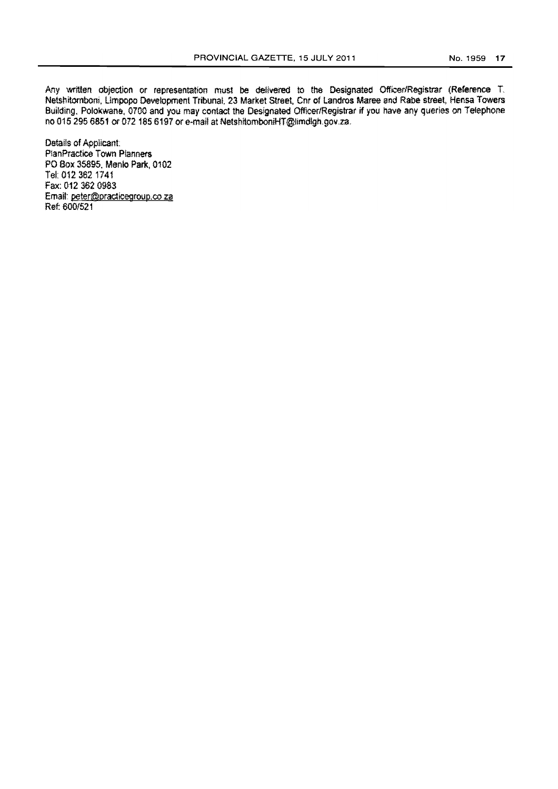Any written objection or representation must be delivered to the Designated Officer/Registrar (Reference T, Netshitomboni, Limpopo Development Tribunal. 23 Market Street. Cnr of Landros Maree and Rabe street, Hensa Towers Building, Polokwane, 0700 and you may contact the Designated Officer/Registrar if you have any queries on Telephone no 015 295 6851 or 072 185 6197 or e-mail at NetshitomboniHT@limdlgh.gov.za.

Details of Applicant: P1anPractice Town Planners PO Sox 35895. Mania Park, 0102 Tel: 0123621741 Fax: 012 362 0983 Emait peter@pradic€group.coza Ret 600/521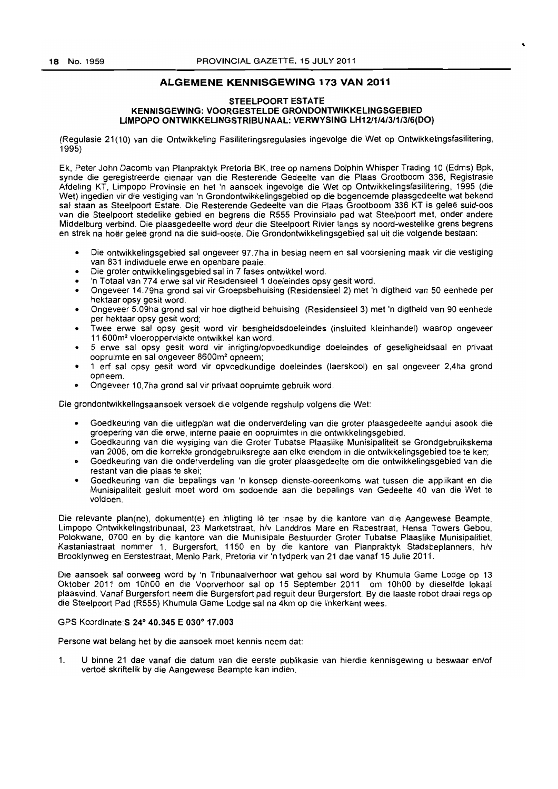# **ALGEMENE KENNISGEWING** 173 **VAN 2011**

#### STEELPOORT ESTATE KENNISGEWING: VOORGESTELDE GRONDONTWIKKELINGSGEBIED LIMPOPO ONTWIKKELINGSTRIBUNAAL: VERWYSING LH12/1/4/3/1/3/6(DO)

(Regulasie 21(10) van die Ontwikkeling Fasiliteringsregulasies ingevolge die Wet op Ontwikkelingsfasilitering, 1995)

Ek, Peter John Dacomb van Planpraktyk Pretoria BK, tree op namens Dolphin Whisper Trading 10 (Edms) Bpk, synde die geregistreerde eienaar van die Resterende Gedeelte van die Plaas Grootboom 336, Registrasie Afdeling KT, Limpopo Provinsie en het 'n aansoek ingevolge die Wet op Ontwikkelingsfasilitering, 1995 (die Wet) ingedien vir die vestiging van 'n Grondontwikkelingsgebied op die bogenoemde plaasgedeelte wat bekend sal staan as Steelpoort Estate. Die Resterende Gedeelte van die Plaas Grootboom 336 KT is geleë suid-oos van die Steelpoort stedelike gebied en begrens die R555 Provinsiale pad wat Steelpoort met, onder andere Middelburg verbind. Die plaasgedeelte word deur die Steelpoort Rivier langs sy noord-westelike grens begrens en strek na hoër geleë grond na die suid-ooste. Die Grondontwikkelingsgebied sal uit die volgende bestaan:

- Die ontwikkelingsgebied sal ongeveer 97.7ha in beslag neem en sal voorsiening maak vir die vestiging van 831 individuele erwe en openbare paaie.
- Die groter ontwikkelingsgebied sal in 7 fases ontwikkel word.
- 'n Totaal van 774 erwe sal vir Residensieel 1 doeleindes opsy gesit word.
- Ongeveer 14.79ha grond sal vir Groepsbehuising (Residensieel 2) met 'n digtheid van 50 eenhede per hektaar opsy gesit word.
- Ongeveer 5.09ha grond sal vir hoe digtheid behuising (Residensieel 3) met 'n digtheid van 90 eenhede per hektaar opsy gesit word;
- Twee erwe sal opsy gesit word vir besigheidsdoeleindes (insluited kleinhandel) waarop ongeveer 11 600m<sup>2</sup> vloeroppervlakte ontwikkel kan word.
- 5 erwe sal opsy gesit word vir inrigting/opvoedkundige doeleindes of geseligheidsaal en privaat oopruimte en sal ongeveer 8600m2 opneem;
- 1 erf sal opsy gesit word vir opvoedkundige doeleindes (Iaerskool) en sal ongeveer 2,4ha grond opneem.
- . Ongeveer 10, 7ha grond sal vir privaat oopruimte gebruik word.

Die grondontwikkelingsaansoek versoek die volgende regshulp volgens die Wet:

- Goedkeuring van die uitlegplan wat die onderverdeling van die grater plaasgedeelte aandui asook die groepering van die erwe, interne paaie en oopruimtes in die ontwikkelingsgebied.
- Goedkeuring van die wysiging van die Groter Tubatse Plaaslike Munisipaliteit se Grondgebruikskema van 2006, om die korrekte grondgebruiksregte aan elke eiendom in die ontwikkelingsgebied toe te ken;
- Goedkeuring van die onderverdeling van die groter plaasgedeelte om die ontwikkelingsgebied van die restant van die plaas te skei;
- Goedkeuring van die bepalings van 'n konsep dienste-ooreenkoms wat tussen die applikant en die Munisipaliteit gesluit moet word om sodoende aan die bepalings van Gedeelte 40 van die Wet te voldoen.

Die relevante plan(ne), dokument(e) en inligting lê ter insae by die kantore van die Aangewese Beampte, Limpopo Ontwikkelingstribunaal, 23 Marketstraat, h/v Landdros Mare en Rabestraat, Hensa Towers Gebou, Polokwane, 0700 en by die kantore van die Munisipale Bestuurder Groter Tubatse Plaaslike Munisipalitiet, Kastaniastraat nommer 1, Burgersfort, 1150 en by die kantore van Planpraktyk Stadsbeplanners, h/v Brooklynweg en Eerstestraat, Menlo Park, Pretoria vir 'n tydperk van 21 dae vanaf 15 Julie 2011.

Die aansoek sal oorweeg word by 'n Tribunaalverhoor wat gehou sal word by Khumula Game Lodge op 13 Oktober 2011 om 10hOO en die Voorverhoor salop 15 September 2011 om 10hOO by dieselfde lokaal plaasvind Vanaf Burgersfort neem die Burgersfort pad reguit deur Burgersfort. By die laaste robot draai regs op die Steelpoort Pad (R555) Khumula Game Lodge sal na 4km op die linkerkant wees.

#### GPS Koordinate: S 24° 40.345 E 030° 17.003

Persone wat belang het by die aansoek moet kennis neem dat:

1. U binne 21 dae vanaf die datum van die eerste publikasie van hierdie kennisgewing u beswaar en/of vertoë skriftelik by die Aangewese Beampte kan indien.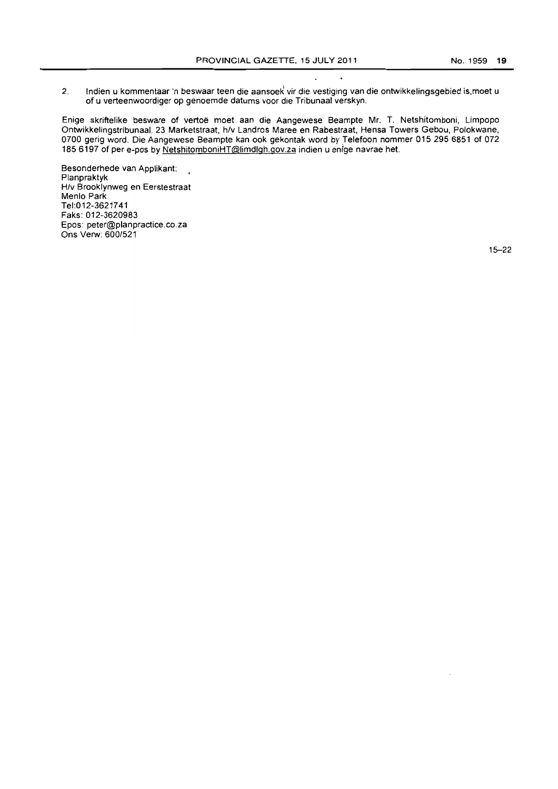2. Indien u kommentaar 'n beswaar teen die aansoek vir die vestiging van die ontwikkelingsgebied is, moet u of u verteenwoordiger op genoemde datums voor die Tribunaal verskyn.

Enige skriftelike besware of vertoe moet aan die Aangewese Beampte Mr. T. Netshitomboni, Limpopo Ontwikkelingstribunaal, 23 Marketstraat, h/v Landros Maree en Rabestraat, Hensa Towers Gebou, Polokwane, 0700 gerig word. Die Aangewese Beampte kan ook gekontak word by Telefoon nommer 015 295 6851 of 072 1856197 of per e-pos by NetshitomboniHT@limdlgh,gov,za indien u enige navrae het.

Besonderhede van Applikant: Planpraktyk H/v Brooklynweg en Eerstestraat Menlo Park Tel:012-3621741 Faks: 012-3620983 Epos: peter@planpractice.co.za Ons Verw: 600/521

15-22